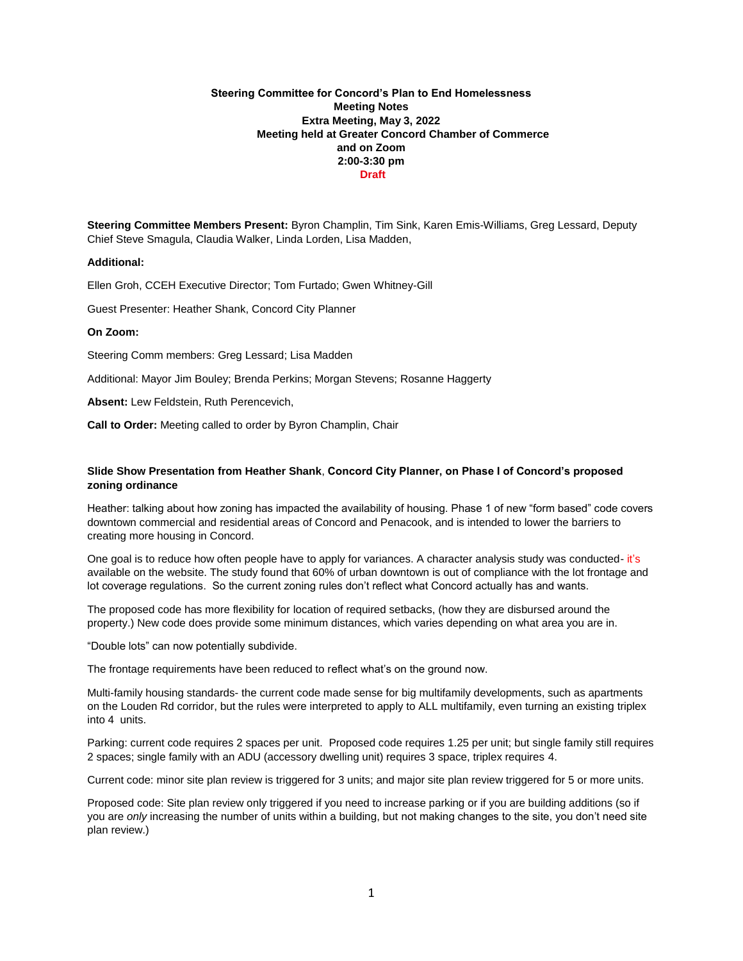# **Steering Committee for Concord's Plan to End Homelessness Meeting Notes Extra Meeting, May 3, 2022 Meeting held at Greater Concord Chamber of Commerce and on Zoom 2:00-3:30 pm Draft**

**Steering Committee Members Present:** Byron Champlin, Tim Sink, Karen Emis-Williams, Greg Lessard, Deputy Chief Steve Smagula, Claudia Walker, Linda Lorden, Lisa Madden,

### **Additional:**

Ellen Groh, CCEH Executive Director; Tom Furtado; Gwen Whitney-Gill

Guest Presenter: Heather Shank, Concord City Planner

### **On Zoom:**

Steering Comm members: Greg Lessard; Lisa Madden

Additional: Mayor Jim Bouley; Brenda Perkins; Morgan Stevens; Rosanne Haggerty

**Absent:** Lew Feldstein, Ruth Perencevich,

**Call to Order:** Meeting called to order by Byron Champlin, Chair

# **Slide Show Presentation from Heather Shank**, **Concord City Planner, on Phase I of Concord's proposed zoning ordinance**

Heather: talking about how zoning has impacted the availability of housing. Phase 1 of new "form based" code covers downtown commercial and residential areas of Concord and Penacook, and is intended to lower the barriers to creating more housing in Concord.

One goal is to reduce how often people have to apply for variances. A character analysis study was conducted- it's available on the website. The study found that 60% of urban downtown is out of compliance with the lot frontage and lot coverage regulations. So the current zoning rules don't reflect what Concord actually has and wants.

The proposed code has more flexibility for location of required setbacks, (how they are disbursed around the property.) New code does provide some minimum distances, which varies depending on what area you are in.

"Double lots" can now potentially subdivide.

The frontage requirements have been reduced to reflect what's on the ground now.

Multi-family housing standards- the current code made sense for big multifamily developments, such as apartments on the Louden Rd corridor, but the rules were interpreted to apply to ALL multifamily, even turning an existing triplex into 4 units.

Parking: current code requires 2 spaces per unit. Proposed code requires 1.25 per unit; but single family still requires 2 spaces; single family with an ADU (accessory dwelling unit) requires 3 space, triplex requires 4.

Current code: minor site plan review is triggered for 3 units; and major site plan review triggered for 5 or more units.

Proposed code: Site plan review only triggered if you need to increase parking or if you are building additions (so if you are *only* increasing the number of units within a building, but not making changes to the site, you don't need site plan review.)